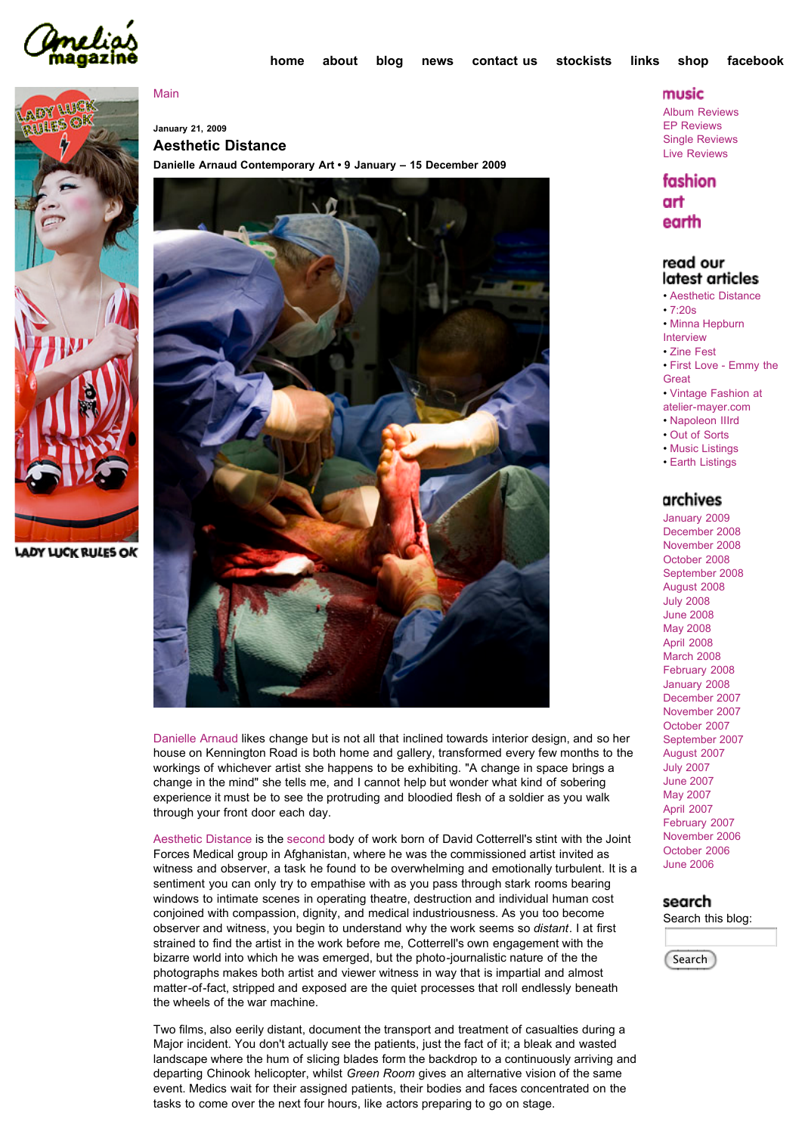

[Main](http://www.ameliasmagazine.com/amelias_blog/)



**LADY LUCK RULES OK** 



[Danielle Arnaud](http://www.daniellearnaud.com/index.html) likes change but is not all that inclined towards interior design, and so her house on Kennington Road is both home and gallery, transformed every few months to the workings of whichever artist she happens to be exhibiting. "A change in space brings a change in the mind" she tells me, and I cannot help but wonder what kind of sobering experience it must be to see the protruding and bloodied flesh of a soldier as you walk through your front door each day.

[Aesthetic Distance i](http://www.daniellearnaud.com/exhibitions/exhibition-cotterrell-aesthetic-distance.html)s the [second](http://www.ameliasmagazine.com/amelias_blog/2008/11/theatre.php) body of work born of David Cotterrell's stint with the Joint Forces Medical group in Afghanistan, where he was the commissioned artist invited as witness and observer, a task he found to be overwhelming and emotionally turbulent. It is a sentiment you can only try to empathise with as you pass through stark rooms bearing windows to intimate scenes in operating theatre, destruction and individual human cost conjoined with compassion, dignity, and medical industriousness. As you too become observer and witness, you begin to understand why the work seems so *distant*. I at first strained to find the artist in the work before me, Cotterrell's own engagement with the bizarre world into which he was emerged, but the photo-journalistic nature of the the photographs makes both artist and viewer witness in way that is impartial and almost matter-of-fact, stripped and exposed are the quiet processes that roll endlessly beneath the wheels of the war machine.

Two films, also eerily distant, document the transport and treatment of casualties during a Major incident. You don't actually see the patients, just the fact of it; a bleak and wasted landscape where the hum of slicing blades form the backdrop to a continuously arriving and departing Chinook helicopter, whilst *Green Room* gives an alternative vision of the same event. Medics wait for their assigned patients, their bodies and faces concentrated on the tasks to come over the next four hours, like actors preparing to go on stage.

### music

[Album Reviews](http://www.ameliasmagazine.com/amelias_blog/music/album/) [EP Reviews](http://www.ameliasmagazine.com/amelias_blog/music/ep/) [Single Reviews](http://www.ameliasmagazine.com/amelias_blog/music/single/) [Live Reviews](http://www.ameliasmagazine.com/amelias_blog/music/live/)

fashion art earth

# read our latest articles

### • [Aesthetic Distance](http://www.ameliasmagazine.com/amelias_blog/2009/01/aesthetic_distance_1.php)

- [7:20s](http://www.ameliasmagazine.com/amelias_blog/2009/01/720s.php)
- [Minna Hepburn](http://www.ameliasmagazine.com/amelias_blog/2009/01/minna_hepburn_interview.php) Interview
- [Zine Fest](http://www.ameliasmagazine.com/amelias_blog/2009/01/zine_fest_1.php)
- [First Love Emmy the](http://www.ameliasmagazine.com/amelias_blog/2009/01/first_love_emmy_the_great_1.php)
- **Great**
- [Vintage Fashion at](http://www.ameliasmagazine.com/amelias_blog/2009/01/vintage_fashion_at_ateliermaye.php)
- atelier-mayer.com
- [Napoleon IIIrd](http://www.ameliasmagazine.com/amelias_blog/2009/01/napoleon_iiird_1.php)
- [Out of Sorts](http://www.ameliasmagazine.com/amelias_blog/2009/01/out_of_sorts_1.php)
- [Music Listings](http://www.ameliasmagazine.com/amelias_blog/2009/01/music_listings_26.php) • [Earth Listings](http://www.ameliasmagazine.com/amelias_blog/2009/01/monday_19th_january_come_lay.php)
- 

# archives

[January 2009](http://www.ameliasmagazine.com/amelias_blog/2009/01/) [December 2008](http://www.ameliasmagazine.com/amelias_blog/2008/12/) [November 2008](http://www.ameliasmagazine.com/amelias_blog/2008/11/) [October 2008](http://www.ameliasmagazine.com/amelias_blog/2008/10/) [September 2008](http://www.ameliasmagazine.com/amelias_blog/2008/09/) [August 2008](http://www.ameliasmagazine.com/amelias_blog/2008/08/) [July 2008](http://www.ameliasmagazine.com/amelias_blog/2008/07/) [June 2008](http://www.ameliasmagazine.com/amelias_blog/2008/06/) [May 2008](http://www.ameliasmagazine.com/amelias_blog/2008/05/) [April 2008](http://www.ameliasmagazine.com/amelias_blog/2008/04/) [March 2008](http://www.ameliasmagazine.com/amelias_blog/2008/03/) [February 2008](http://www.ameliasmagazine.com/amelias_blog/2008/02/) [January 2008](http://www.ameliasmagazine.com/amelias_blog/2008/01/) [December 2007](http://www.ameliasmagazine.com/amelias_blog/2007/12/) [November 2007](http://www.ameliasmagazine.com/amelias_blog/2007/11/) [October 2007](http://www.ameliasmagazine.com/amelias_blog/2007/10/) [September 2007](http://www.ameliasmagazine.com/amelias_blog/2007/09/) [August 2007](http://www.ameliasmagazine.com/amelias_blog/2007/08/) [July 2007](http://www.ameliasmagazine.com/amelias_blog/2007/07/) [June 2007](http://www.ameliasmagazine.com/amelias_blog/2007/06/) [May 2007](http://www.ameliasmagazine.com/amelias_blog/2007/05/) [April 2007](http://www.ameliasmagazine.com/amelias_blog/2007/04/) [February 2007](http://www.ameliasmagazine.com/amelias_blog/2007/02/) [November 2006](http://www.ameliasmagazine.com/amelias_blog/2006/11/) [October 2006](http://www.ameliasmagazine.com/amelias_blog/2006/10/) [June 2006](http://www.ameliasmagazine.com/amelias_blog/2006/06/)

## search

Search this blog:

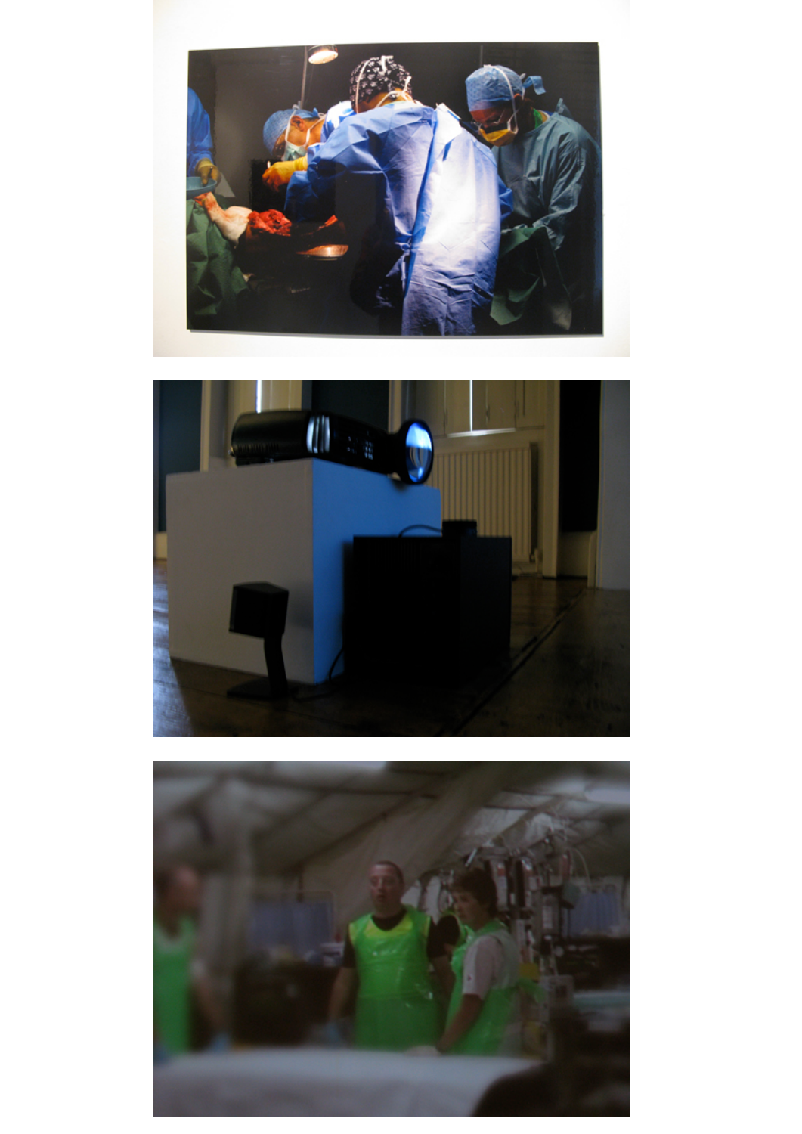